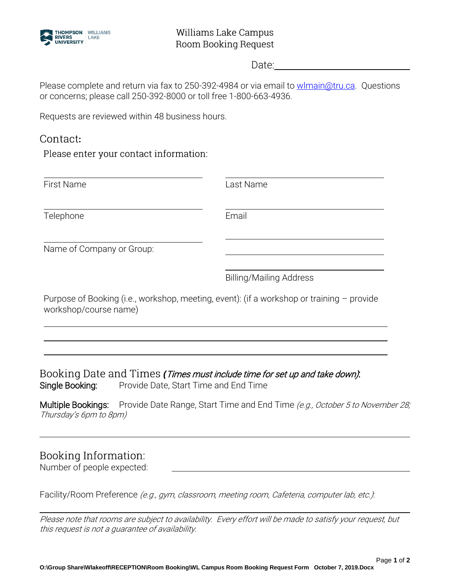

Date:

Please complete and return via fax to 250-392-4984 or via email to [wlmain@tru.ca.](mailto:wlmain@tru.ca) Questions or concerns; please call 250-392-8000 or toll free 1-800-663-4936.

Requests are reviewed within 48 business hours.

# Contact:

Please enter your contact information:

| <b>First Name</b>                                                                                                  | Last Name                      |
|--------------------------------------------------------------------------------------------------------------------|--------------------------------|
| Telephone                                                                                                          | Email                          |
| Name of Company or Group:                                                                                          |                                |
|                                                                                                                    | <b>Billing/Mailing Address</b> |
| Purpose of Booking (i.e., workshop, meeting, event): (if a workshop or training - provide<br>workshop/course name) |                                |
|                                                                                                                    |                                |

Booking Date and Times (Times must include time for set up and take down). Single Booking: Provide Date, Start Time and End Time

Multiple Bookings: Provide Date Range, Start Time and End Time (e.g., October 5 to November 28; Thursday's 6pm to 8pm)

# **Booking Information:**

Number of people expected:

Facility/Room Preference (e.g., gym, classroom, meeting room, Cafeteria, computer lab, etc.).

Please note that rooms are subject to availability. Every effort will be made to satisfy your request, but this request is not a guarantee of availability.